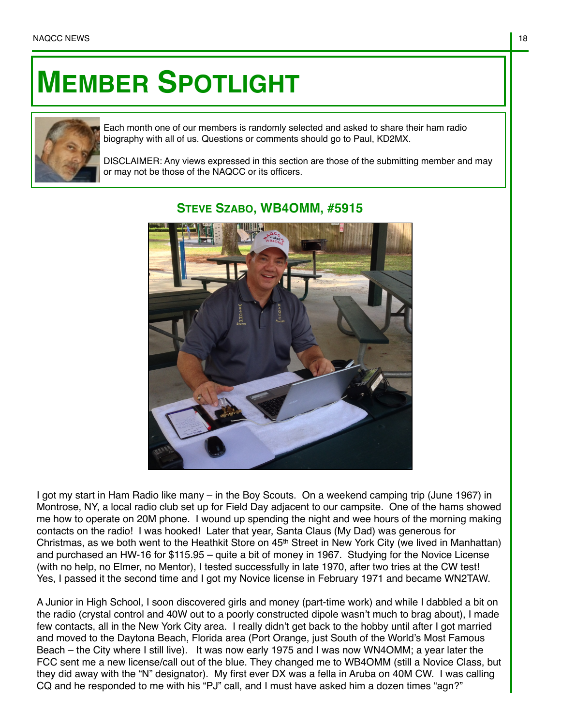## **MEMBER SPOTLIGHT**



Each month one of our members is randomly selected and asked to share their ham radio biography with all of us. Questions or comments should go to Paul, KD2MX.

DISCLAIMER: Any views expressed in this section are those of the submitting member and may or may not be those of the NAQCC or its officers.



## **STEVE SZABO, WB4OMM, #5915**

I got my start in Ham Radio like many – in the Boy Scouts. On a weekend camping trip (June 1967) in Montrose, NY, a local radio club set up for Field Day adjacent to our campsite. One of the hams showed me how to operate on 20M phone. I wound up spending the night and wee hours of the morning making contacts on the radio! I was hooked! Later that year, Santa Claus (My Dad) was generous for Christmas, as we both went to the Heathkit Store on  $45<sup>th</sup>$  Street in New York City (we lived in Manhattan) and purchased an HW-16 for \$115.95 – quite a bit of money in 1967. Studying for the Novice License (with no help, no Elmer, no Mentor), I tested successfully in late 1970, after two tries at the CW test! Yes, I passed it the second time and I got my Novice license in February 1971 and became WN2TAW.

A Junior in High School, I soon discovered girls and money (part-time work) and while I dabbled a bit on the radio (crystal control and 40W out to a poorly constructed dipole wasn't much to brag about), I made few contacts, all in the New York City area. I really didn't get back to the hobby until after I got married and moved to the Daytona Beach, Florida area (Port Orange, just South of the World's Most Famous Beach – the City where I still live). It was now early 1975 and I was now WN4OMM; a year later the FCC sent me a new license/call out of the blue. They changed me to WB4OMM (still a Novice Class, but they did away with the "N" designator). My first ever DX was a fella in Aruba on 40M CW. I was calling CQ and he responded to me with his "PJ" call, and I must have asked him a dozen times "agn?"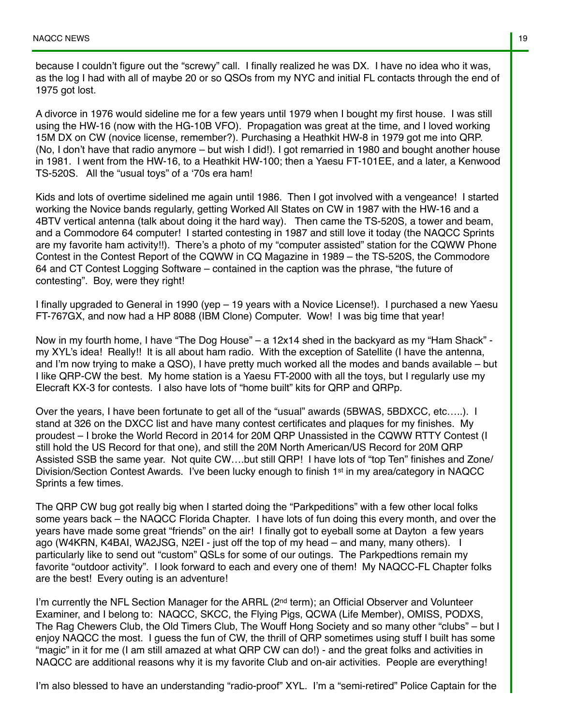because I couldn't figure out the "screwy" call. I finally realized he was DX. I have no idea who it was, as the log I had with all of maybe 20 or so QSOs from my NYC and initial FL contacts through the end of 1975 got lost.

A divorce in 1976 would sideline me for a few years until 1979 when I bought my first house. I was still using the HW-16 (now with the HG-10B VFO). Propagation was great at the time, and I loved working 15M DX on CW (novice license, remember?). Purchasing a Heathkit HW-8 in 1979 got me into QRP. (No, I don't have that radio anymore – but wish I did!). I got remarried in 1980 and bought another house in 1981. I went from the HW-16, to a Heathkit HW-100; then a Yaesu FT-101EE, and a later, a Kenwood TS-520S. All the "usual toys" of a '70s era ham!

Kids and lots of overtime sidelined me again until 1986. Then I got involved with a vengeance! I started working the Novice bands regularly, getting Worked All States on CW in 1987 with the HW-16 and a 4BTV vertical antenna (talk about doing it the hard way). Then came the TS-520S, a tower and beam, and a Commodore 64 computer! I started contesting in 1987 and still love it today (the NAQCC Sprints are my favorite ham activity!!). There's a photo of my "computer assisted" station for the CQWW Phone Contest in the Contest Report of the CQWW in CQ Magazine in 1989 – the TS-520S, the Commodore 64 and CT Contest Logging Software – contained in the caption was the phrase, "the future of contesting". Boy, were they right!

I finally upgraded to General in 1990 (yep – 19 years with a Novice License!). I purchased a new Yaesu FT-767GX, and now had a HP 8088 (IBM Clone) Computer. Wow! I was big time that year!

Now in my fourth home, I have "The Dog House" – a 12x14 shed in the backyard as my "Ham Shack" my XYL's idea! Really!! It is all about ham radio. With the exception of Satellite (I have the antenna, and I'm now trying to make a QSO), I have pretty much worked all the modes and bands available – but I like QRP-CW the best. My home station is a Yaesu FT-2000 with all the toys, but I regularly use my Elecraft KX-3 for contests. I also have lots of "home built" kits for QRP and QRPp.

Over the years, I have been fortunate to get all of the "usual" awards (5BWAS, 5BDXCC, etc…..). I stand at 326 on the DXCC list and have many contest certificates and plaques for my finishes. My proudest – I broke the World Record in 2014 for 20M QRP Unassisted in the CQWW RTTY Contest (I still hold the US Record for that one), and still the 20M North American/US Record for 20M QRP Assisted SSB the same year. Not quite CW….but still QRP! I have lots of "top Ten" finishes and Zone/ Division/Section Contest Awards. I've been lucky enough to finish 1st in my area/category in NAQCC Sprints a few times.

The QRP CW bug got really big when I started doing the "Parkpeditions" with a few other local folks some years back – the NAQCC Florida Chapter. I have lots of fun doing this every month, and over the years have made some great "friends" on the air! I finally got to eyeball some at Dayton a few years ago (W4KRN, K4BAI, WA2JSG, N2EI - just off the top of my head – and many, many others). I particularly like to send out "custom" QSLs for some of our outings. The Parkpedtions remain my favorite "outdoor activity". I look forward to each and every one of them! My NAQCC-FL Chapter folks are the best! Every outing is an adventure!

I'm currently the NFL Section Manager for the ARRL  $(2^{nd}$  term); an Official Observer and Volunteer Examiner, and I belong to: NAQCC, SKCC, the Flying Pigs, QCWA (Life Member), OMISS, PODXS, The Rag Chewers Club, the Old Timers Club, The Wouff Hong Society and so many other "clubs" – but I enjoy NAQCC the most. I guess the fun of CW, the thrill of QRP sometimes using stuff I built has some "magic" in it for me (I am still amazed at what QRP CW can do!) - and the great folks and activities in NAQCC are additional reasons why it is my favorite Club and on-air activities. People are everything!

I'm also blessed to have an understanding "radio-proof" XYL. I'm a "semi-retired" Police Captain for the